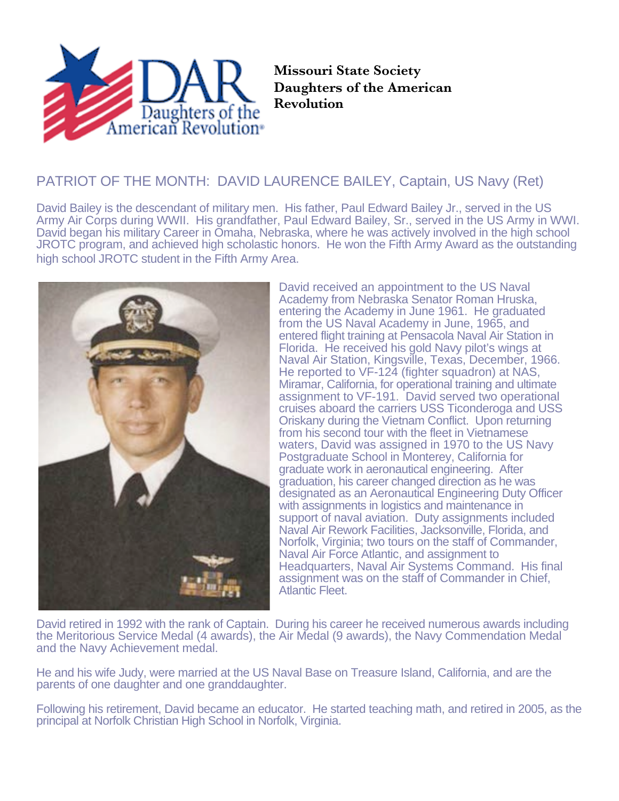

**Missouri State Society Daughters of the American Revolution**

## PATRIOT OF THE MONTH: DAVID LAURENCE BAILEY, Captain, US Navy (Ret)

David Bailey is the descendant of military men. His father, Paul Edward Bailey Jr., served in the US Army Air Corps during WWII. His grandfather, Paul Edward Bailey, Sr., served in the US Army in WWI. David began his military Career in Omaha, Nebraska, where he was actively involved in the high school JROTC program, and achieved high scholastic honors. He won the Fifth Army Award as the outstanding high school JROTC student in the Fifth Army Area.



David received an appointment to the US Naval Academy from Nebraska Senator Roman Hruska, entering the Academy in June 1961. He graduated from the US Naval Academy in June, 1965, and entered flight training at Pensacola Naval Air Station in Florida. He received his gold Navy pilot's wings at Naval Air Station, Kingsville, Texas, December, 1966. He reported to VF-124 (fighter squadron) at NAS, Miramar, California, for operational training and ultimate assignment to VF-191. David served two operational cruises aboard the carriers USS Ticonderoga and USS Oriskany during the Vietnam Conflict. Upon returning from his second tour with the fleet in Vietnamese waters, David was assigned in 1970 to the US Navy Postgraduate School in Monterey, California for graduate work in aeronautical engineering. After graduation, his career changed direction as he was designated as an Aeronautical Engineering Duty Officer with assignments in logistics and maintenance in support of naval aviation. Duty assignments included Naval Air Rework Facilities, Jacksonville, Florida, and Norfolk, Virginia; two tours on the staff of Commander, Naval Air Force Atlantic, and assignment to Headquarters, Naval Air Systems Command. His final assignment was on the staff of Commander in Chief, Atlantic Fleet.

David retired in 1992 with the rank of Captain. During his career he received numerous awards including the Meritorious Service Medal (4 awards), the Air Medal (9 awards), the Navy Commendation Medal and the Navy Achievement medal.

He and his wife Judy, were married at the US Naval Base on Treasure Island, California, and are the parents of one daughter and one granddaughter.

Following his retirement, David became an educator. He started teaching math, and retired in 2005, as the principal at Norfolk Christian High School in Norfolk, Virginia.